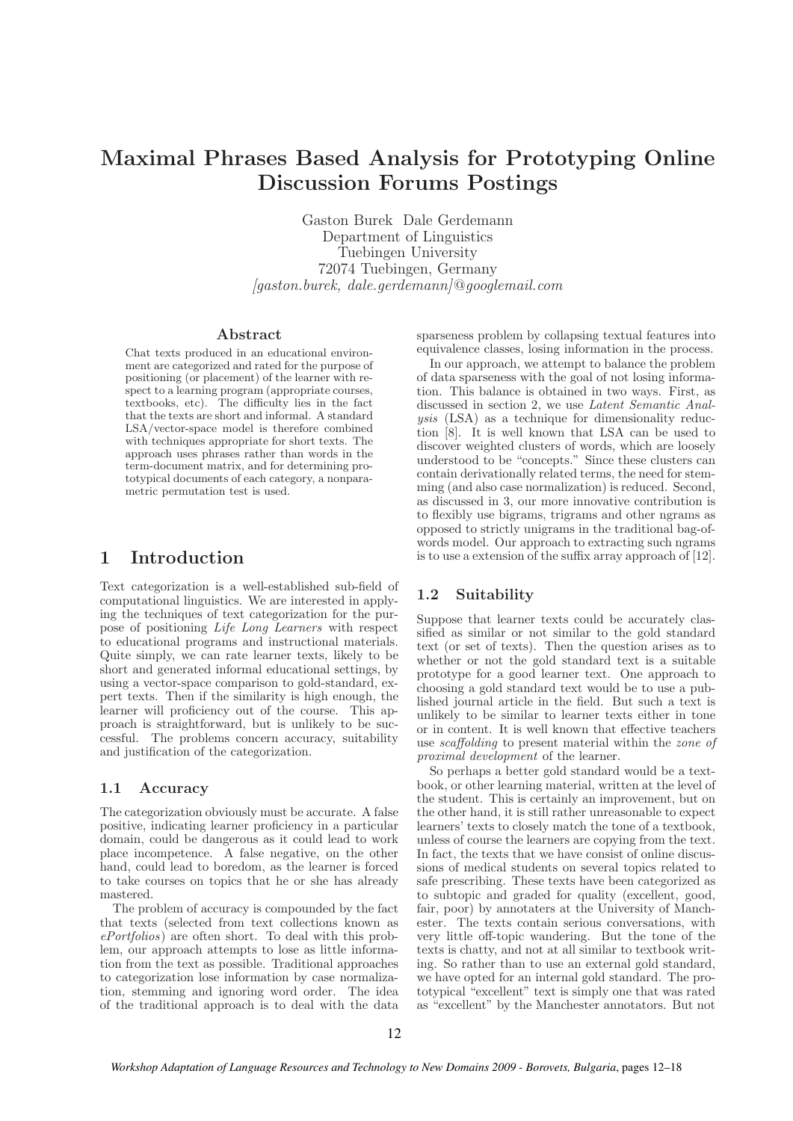# Maximal Phrases Based Analysis for Prototyping Online Discussion Forums Postings

Gaston Burek Dale Gerdemann Department of Linguistics Tuebingen University 72074 Tuebingen, Germany  $[qaston.burek, dale.gerdemann]@qooglemail.com$ 

#### Abstract

Chat texts produced in an educational environment are categorized and rated for the purpose of positioning (or placement) of the learner with respect to a learning program (appropriate courses, textbooks, etc). The difficulty lies in the fact that the texts are short and informal. A standard LSA/vector-space model is therefore combined with techniques appropriate for short texts. The approach uses phrases rather than words in the term-document matrix, and for determining prototypical documents of each category, a nonparametric permutation test is used.

# 1 Introduction

Text categorization is a well-established sub-field of computational linguistics. We are interested in applying the techniques of text categorization for the purpose of positioning Life Long Learners with respect to educational programs and instructional materials. Quite simply, we can rate learner texts, likely to be short and generated informal educational settings, by using a vector-space comparison to gold-standard, expert texts. Then if the similarity is high enough, the learner will proficiency out of the course. This approach is straightforward, but is unlikely to be successful. The problems concern accuracy, suitability and justification of the categorization.

#### 1.1 Accuracy

The categorization obviously must be accurate. A false positive, indicating learner proficiency in a particular domain, could be dangerous as it could lead to work place incompetence. A false negative, on the other hand, could lead to boredom, as the learner is forced to take courses on topics that he or she has already mastered.

The problem of accuracy is compounded by the fact that texts (selected from text collections known as ePortfolios) are often short. To deal with this problem, our approach attempts to lose as little information from the text as possible. Traditional approaches to categorization lose information by case normalization, stemming and ignoring word order. The idea of the traditional approach is to deal with the data sparseness problem by collapsing textual features into equivalence classes, losing information in the process.

In our approach, we attempt to balance the problem of data sparseness with the goal of not losing information. This balance is obtained in two ways. First, as discussed in section 2, we use Latent Semantic Analysis (LSA) as a technique for dimensionality reduction [8]. It is well known that LSA can be used to discover weighted clusters of words, which are loosely understood to be "concepts." Since these clusters can contain derivationally related terms, the need for stemming (and also case normalization) is reduced. Second, as discussed in 3, our more innovative contribution is to flexibly use bigrams, trigrams and other ngrams as opposed to strictly unigrams in the traditional bag-ofwords model. Our approach to extracting such ngrams is to use a extension of the suffix array approach of [12].

### 1.2 Suitability

Suppose that learner texts could be accurately classified as similar or not similar to the gold standard text (or set of texts). Then the question arises as to whether or not the gold standard text is a suitable prototype for a good learner text. One approach to choosing a gold standard text would be to use a published journal article in the field. But such a text is unlikely to be similar to learner texts either in tone or in content. It is well known that effective teachers use scaffolding to present material within the zone of proximal development of the learner.

So perhaps a better gold standard would be a textbook, or other learning material, written at the level of the student. This is certainly an improvement, but on the other hand, it is still rather unreasonable to expect learners' texts to closely match the tone of a textbook, unless of course the learners are copying from the text. In fact, the texts that we have consist of online discussions of medical students on several topics related to safe prescribing. These texts have been categorized as to subtopic and graded for quality (excellent, good, fair, poor) by annotaters at the University of Manchester. The texts contain serious conversations, with very little off-topic wandering. But the tone of the texts is chatty, and not at all similar to textbook writing. So rather than to use an external gold standard, we have opted for an internal gold standard. The prototypical "excellent" text is simply one that was rated as "excellent" by the Manchester annotators. But not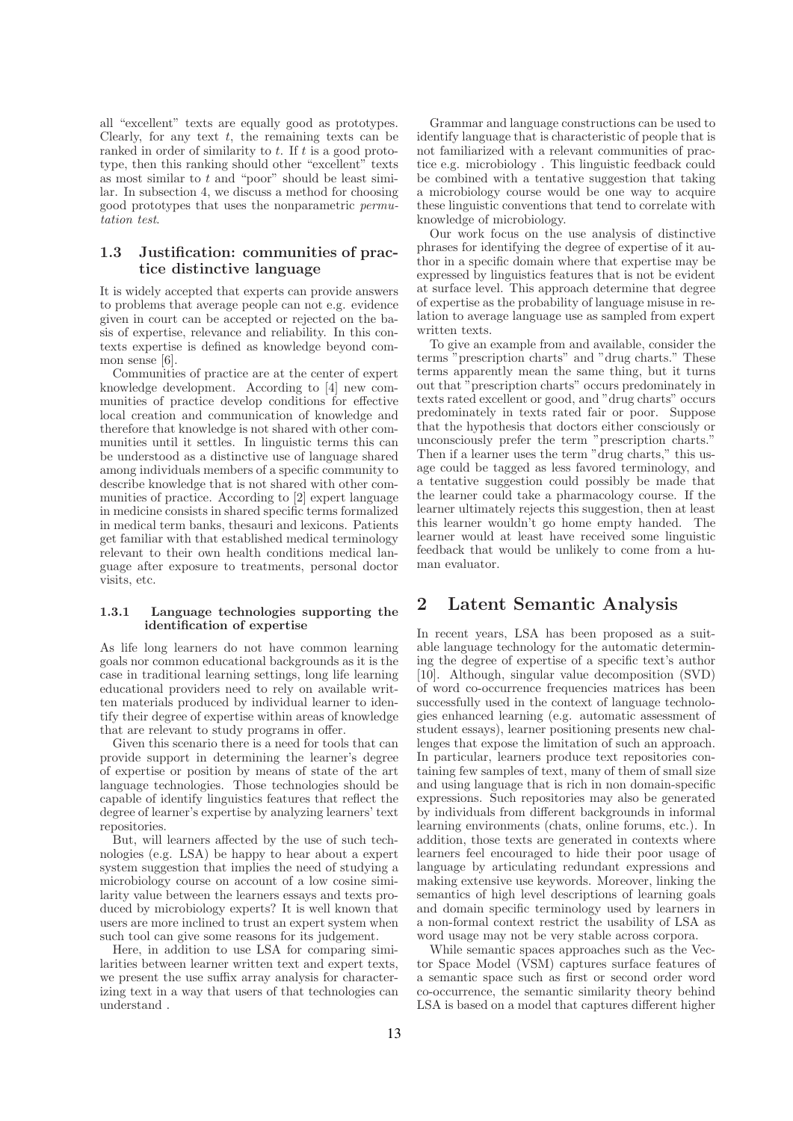all "excellent" texts are equally good as prototypes. Clearly, for any text  $t$ , the remaining texts can be ranked in order of similarity to t. If t is a good prototype, then this ranking should other "excellent" texts as most similar to  $t$  and "poor" should be least similar. In subsection 4, we discuss a method for choosing good prototypes that uses the nonparametric permutation test.

### 1.3 Justification: communities of practice distinctive language

It is widely accepted that experts can provide answers to problems that average people can not e.g. evidence given in court can be accepted or rejected on the basis of expertise, relevance and reliability. In this contexts expertise is defined as knowledge beyond common sense [6].

Communities of practice are at the center of expert knowledge development. According to [4] new communities of practice develop conditions for effective local creation and communication of knowledge and therefore that knowledge is not shared with other communities until it settles. In linguistic terms this can be understood as a distinctive use of language shared among individuals members of a specific community to describe knowledge that is not shared with other communities of practice. According to [2] expert language in medicine consists in shared specific terms formalized in medical term banks, thesauri and lexicons. Patients get familiar with that established medical terminology relevant to their own health conditions medical language after exposure to treatments, personal doctor visits, etc.

#### 1.3.1 Language technologies supporting the identification of expertise

As life long learners do not have common learning goals nor common educational backgrounds as it is the case in traditional learning settings, long life learning educational providers need to rely on available written materials produced by individual learner to identify their degree of expertise within areas of knowledge that are relevant to study programs in offer.

Given this scenario there is a need for tools that can provide support in determining the learner's degree of expertise or position by means of state of the art language technologies. Those technologies should be capable of identify linguistics features that reflect the degree of learner's expertise by analyzing learners' text repositories.

But, will learners affected by the use of such technologies (e.g. LSA) be happy to hear about a expert system suggestion that implies the need of studying a microbiology course on account of a low cosine similarity value between the learners essays and texts produced by microbiology experts? It is well known that users are more inclined to trust an expert system when such tool can give some reasons for its judgement.

Here, in addition to use LSA for comparing similarities between learner written text and expert texts, we present the use suffix array analysis for characterizing text in a way that users of that technologies can understand .

Grammar and language constructions can be used to identify language that is characteristic of people that is not familiarized with a relevant communities of practice e.g. microbiology . This linguistic feedback could be combined with a tentative suggestion that taking a microbiology course would be one way to acquire these linguistic conventions that tend to correlate with knowledge of microbiology.

Our work focus on the use analysis of distinctive phrases for identifying the degree of expertise of it author in a specific domain where that expertise may be expressed by linguistics features that is not be evident at surface level. This approach determine that degree of expertise as the probability of language misuse in relation to average language use as sampled from expert written texts.

To give an example from and available, consider the terms "prescription charts" and "drug charts." These terms apparently mean the same thing, but it turns out that "prescription charts" occurs predominately in texts rated excellent or good, and "drug charts" occurs predominately in texts rated fair or poor. Suppose that the hypothesis that doctors either consciously or unconsciously prefer the term "prescription charts." Then if a learner uses the term "drug charts," this usage could be tagged as less favored terminology, and a tentative suggestion could possibly be made that the learner could take a pharmacology course. If the learner ultimately rejects this suggestion, then at least this learner wouldn't go home empty handed. The learner would at least have received some linguistic feedback that would be unlikely to come from a human evaluator.

# 2 Latent Semantic Analysis

In recent years, LSA has been proposed as a suitable language technology for the automatic determining the degree of expertise of a specific text's author [10]. Although, singular value decomposition (SVD) of word co-occurrence frequencies matrices has been successfully used in the context of language technologies enhanced learning (e.g. automatic assessment of student essays), learner positioning presents new challenges that expose the limitation of such an approach. In particular, learners produce text repositories containing few samples of text, many of them of small size and using language that is rich in non domain-specific expressions. Such repositories may also be generated by individuals from different backgrounds in informal learning environments (chats, online forums, etc.). In addition, those texts are generated in contexts where learners feel encouraged to hide their poor usage of language by articulating redundant expressions and making extensive use keywords. Moreover, linking the semantics of high level descriptions of learning goals and domain specific terminology used by learners in a non-formal context restrict the usability of LSA as word usage may not be very stable across corpora.

While semantic spaces approaches such as the Vector Space Model (VSM) captures surface features of a semantic space such as first or second order word co-occurrence, the semantic similarity theory behind LSA is based on a model that captures different higher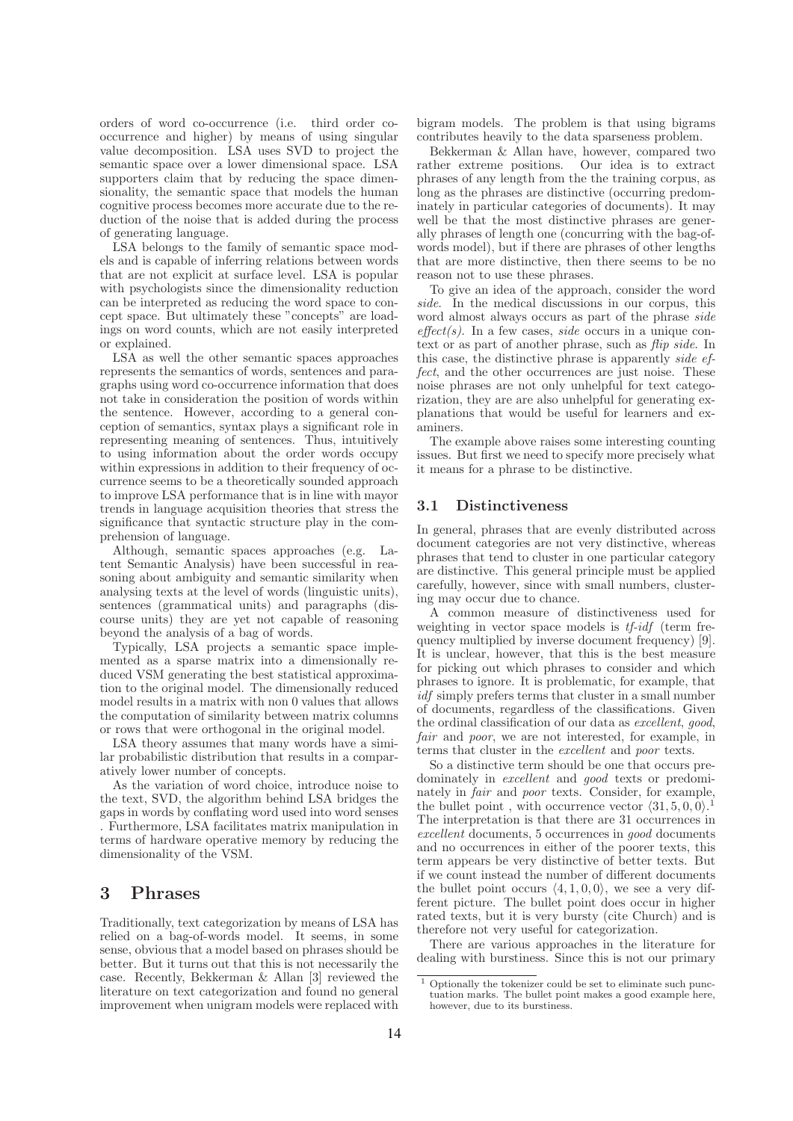orders of word co-occurrence (i.e. third order cooccurrence and higher) by means of using singular value decomposition. LSA uses SVD to project the semantic space over a lower dimensional space. LSA supporters claim that by reducing the space dimensionality, the semantic space that models the human cognitive process becomes more accurate due to the reduction of the noise that is added during the process of generating language.

LSA belongs to the family of semantic space models and is capable of inferring relations between words that are not explicit at surface level. LSA is popular with psychologists since the dimensionality reduction can be interpreted as reducing the word space to concept space. But ultimately these "concepts" are loadings on word counts, which are not easily interpreted or explained.

LSA as well the other semantic spaces approaches represents the semantics of words, sentences and paragraphs using word co-occurrence information that does not take in consideration the position of words within the sentence. However, according to a general conception of semantics, syntax plays a significant role in representing meaning of sentences. Thus, intuitively to using information about the order words occupy within expressions in addition to their frequency of occurrence seems to be a theoretically sounded approach to improve LSA performance that is in line with mayor trends in language acquisition theories that stress the significance that syntactic structure play in the comprehension of language.

Although, semantic spaces approaches (e.g. Latent Semantic Analysis) have been successful in reasoning about ambiguity and semantic similarity when analysing texts at the level of words (linguistic units), sentences (grammatical units) and paragraphs (discourse units) they are yet not capable of reasoning beyond the analysis of a bag of words.

Typically, LSA projects a semantic space implemented as a sparse matrix into a dimensionally reduced VSM generating the best statistical approximation to the original model. The dimensionally reduced model results in a matrix with non 0 values that allows the computation of similarity between matrix columns or rows that were orthogonal in the original model.

LSA theory assumes that many words have a similar probabilistic distribution that results in a comparatively lower number of concepts.

As the variation of word choice, introduce noise to the text, SVD, the algorithm behind LSA bridges the gaps in words by conflating word used into word senses . Furthermore, LSA facilitates matrix manipulation in terms of hardware operative memory by reducing the dimensionality of the VSM.

## 3 Phrases

Traditionally, text categorization by means of LSA has relied on a bag-of-words model. It seems, in some sense, obvious that a model based on phrases should be better. But it turns out that this is not necessarily the case. Recently, Bekkerman & Allan [3] reviewed the literature on text categorization and found no general improvement when unigram models were replaced with

bigram models. The problem is that using bigrams contributes heavily to the data sparseness problem.

Bekkerman & Allan have, however, compared two rather extreme positions. phrases of any length from the the training corpus, as long as the phrases are distinctive (occurring predominately in particular categories of documents). It may well be that the most distinctive phrases are generally phrases of length one (concurring with the bag-ofwords model), but if there are phrases of other lengths that are more distinctive, then there seems to be no reason not to use these phrases.

To give an idea of the approach, consider the word side. In the medical discussions in our corpus, this word almost always occurs as part of the phrase side  $effect(s)$ . In a few cases, *side* occurs in a unique context or as part of another phrase, such as *flip side*. In this case, the distinctive phrase is apparently side effect, and the other occurrences are just noise. These noise phrases are not only unhelpful for text categorization, they are are also unhelpful for generating explanations that would be useful for learners and examiners.

The example above raises some interesting counting issues. But first we need to specify more precisely what it means for a phrase to be distinctive.

#### 3.1 Distinctiveness

In general, phrases that are evenly distributed across document categories are not very distinctive, whereas phrases that tend to cluster in one particular category are distinctive. This general principle must be applied carefully, however, since with small numbers, clustering may occur due to chance.

A common measure of distinctiveness used for weighting in vector space models is  $tf-idf$  (term frequency multiplied by inverse document frequency) [9]. It is unclear, however, that this is the best measure for picking out which phrases to consider and which phrases to ignore. It is problematic, for example, that idf simply prefers terms that cluster in a small number of documents, regardless of the classifications. Given the ordinal classification of our data as excellent, good, fair and *poor*, we are not interested, for example, in terms that cluster in the excellent and poor texts.

So a distinctive term should be one that occurs predominately in excellent and good texts or predominately in fair and poor texts. Consider, for example, the bullet point, with occurrence vector  $\langle 31, 5, 0, 0 \rangle$ . The interpretation is that there are 31 occurrences in excellent documents, 5 occurrences in good documents and no occurrences in either of the poorer texts, this term appears be very distinctive of better texts. But if we count instead the number of different documents the bullet point occurs  $\langle 4, 1, 0, 0 \rangle$ , we see a very different picture. The bullet point does occur in higher rated texts, but it is very bursty (cite Church) and is therefore not very useful for categorization.

There are various approaches in the literature for dealing with burstiness. Since this is not our primary

<sup>1</sup> Optionally the tokenizer could be set to eliminate such punctuation marks. The bullet point makes a good example here, however, due to its burstiness.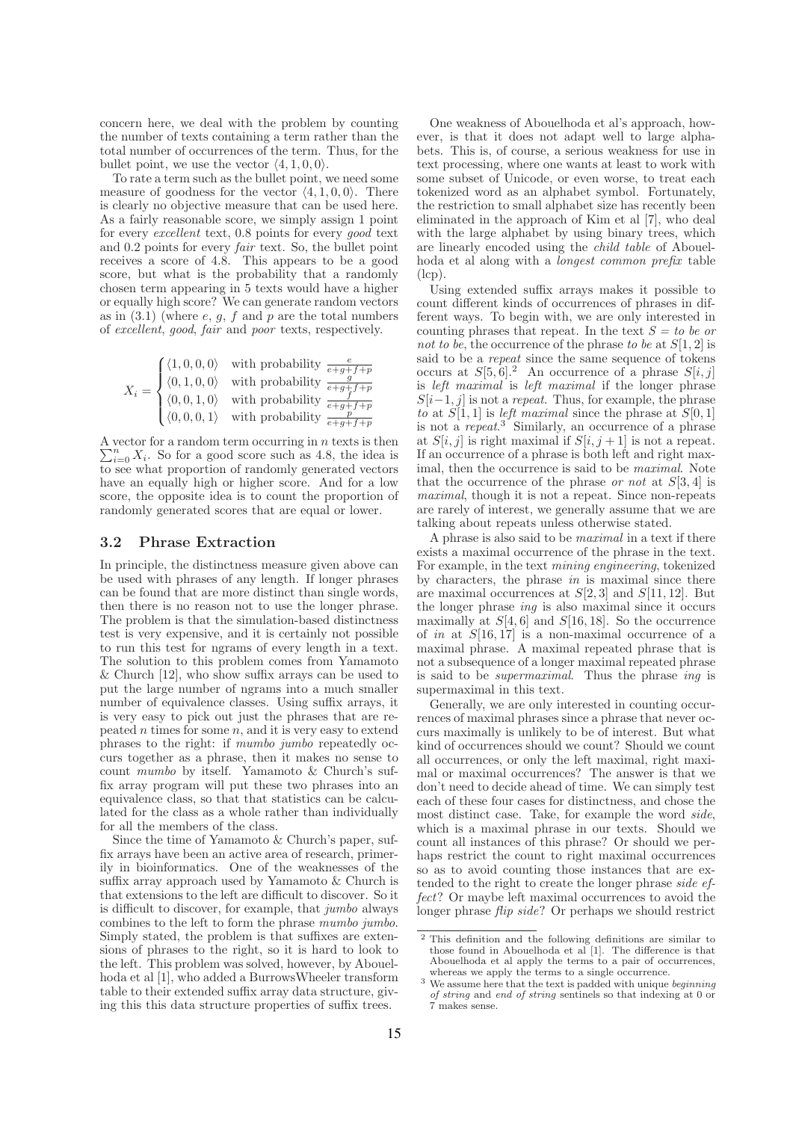concern here, we deal with the problem by counting the number of texts containing a term rather than the total number of occurrences of the term. Thus, for the bullet point, we use the vector  $\langle 4, 1, 0, 0 \rangle$ .

To rate a term such as the bullet point, we need some measure of goodness for the vector  $\langle 4, 1, 0, 0 \rangle$ . There is clearly no objective measure that can be used here. As a fairly reasonable score, we simply assign 1 point for every excellent text, 0.8 points for every good text and 0.2 points for every fair text. So, the bullet point receives a score of 4.8. This appears to be a good score, but what is the probability that a randomly chosen term appearing in 5 texts would have a higher or equally high score? We can generate random vectors as in  $(3.1)$  (where  $e, g, f$  and p are the total numbers of excellent, good, fair and poor texts, respectively.

$$
X_i = \begin{cases} \langle 1, 0, 0, 0 \rangle & \text{with probability } \frac{e}{e+g+f+p} \\ \langle 0, 1, 0, 0 \rangle & \text{with probability } \frac{g}{e+g+f+p} \\ \langle 0, 0, 1, 0 \rangle & \text{with probability } \frac{f}{e+g+f+p} \\ \langle 0, 0, 0, 1 \rangle & \text{with probability } \frac{p}{e+g+f+p} \end{cases}
$$

A vector for a random term occurring in  $n$  texts is then  $\sum_{i=0}^{n} X_i$ . So for a good score such as 4.8, the idea is to see what proportion of randomly generated vectors have an equally high or higher score. And for a low score, the opposite idea is to count the proportion of randomly generated scores that are equal or lower.

#### 3.2 Phrase Extraction

In principle, the distinctness measure given above can be used with phrases of any length. If longer phrases can be found that are more distinct than single words, then there is no reason not to use the longer phrase. The problem is that the simulation-based distinctness test is very expensive, and it is certainly not possible to run this test for ngrams of every length in a text. The solution to this problem comes from Yamamoto & Church [12], who show suffix arrays can be used to put the large number of ngrams into a much smaller number of equivalence classes. Using suffix arrays, it is very easy to pick out just the phrases that are repeated  $n$  times for some  $n$ , and it is very easy to extend phrases to the right: if mumbo jumbo repeatedly occurs together as a phrase, then it makes no sense to count mumbo by itself. Yamamoto & Church's suffix array program will put these two phrases into an equivalence class, so that that statistics can be calculated for the class as a whole rather than individually for all the members of the class.

Since the time of Yamamoto & Church's paper, suffix arrays have been an active area of research, primerily in bioinformatics. One of the weaknesses of the suffix array approach used by Yamamoto & Church is that extensions to the left are difficult to discover. So it is difficult to discover, for example, that jumbo always combines to the left to form the phrase mumbo jumbo. Simply stated, the problem is that suffixes are extensions of phrases to the right, so it is hard to look to the left. This problem was solved, however, by Abouelhoda et al [1], who added a BurrowsWheeler transform table to their extended suffix array data structure, giving this this data structure properties of suffix trees.

One weakness of Abouelhoda et al's approach, however, is that it does not adapt well to large alphabets. This is, of course, a serious weakness for use in text processing, where one wants at least to work with some subset of Unicode, or even worse, to treat each tokenized word as an alphabet symbol. Fortunately, the restriction to small alphabet size has recently been eliminated in the approach of Kim et al [7], who deal with the large alphabet by using binary trees, which are linearly encoded using the child table of Abouelhoda et al along with a longest common prefix table (lcp).

Using extended suffix arrays makes it possible to count different kinds of occurrences of phrases in different ways. To begin with, we are only interested in counting phrases that repeat. In the text  $S = to be$  or not to be, the occurrence of the phrase to be at  $S[1, 2]$  is said to be a repeat since the same sequence of tokens occurs at  $S[5, 6]$ .<sup>2</sup> An occurrence of a phrase  $S[i, j]$ is left maximal is left maximal if the longer phrase  $S[i-1, j]$  is not a *repeat*. Thus, for example, the phrase to at  $S[1, 1]$  is *left maximal* since the phrase at  $S[0, 1]$ is not a *repeat*.<sup>3</sup> Similarly, an occurrence of a phrase at  $S[i, j]$  is right maximal if  $S[i, j + 1]$  is not a repeat. If an occurrence of a phrase is both left and right maximal, then the occurrence is said to be maximal. Note that the occurrence of the phrase *or not* at  $S[3, 4]$  is maximal, though it is not a repeat. Since non-repeats are rarely of interest, we generally assume that we are talking about repeats unless otherwise stated.

A phrase is also said to be maximal in a text if there exists a maximal occurrence of the phrase in the text. For example, in the text mining engineering, tokenized by characters, the phrase  $in$  is maximal since there are maximal occurrences at  $S[2,3]$  and  $S[11, 12]$ . But the longer phrase ing is also maximal since it occurs maximally at  $S[4, 6]$  and  $S[16, 18]$ . So the occurrence of in at  $S[16, 17]$  is a non-maximal occurrence of a maximal phrase. A maximal repeated phrase that is not a subsequence of a longer maximal repeated phrase is said to be supermaximal. Thus the phrase ing is supermaximal in this text.

Generally, we are only interested in counting occurrences of maximal phrases since a phrase that never occurs maximally is unlikely to be of interest. But what kind of occurrences should we count? Should we count all occurrences, or only the left maximal, right maximal or maximal occurrences? The answer is that we don't need to decide ahead of time. We can simply test each of these four cases for distinctness, and chose the most distinct case. Take, for example the word side, which is a maximal phrase in our texts. Should we count all instances of this phrase? Or should we perhaps restrict the count to right maximal occurrences so as to avoid counting those instances that are extended to the right to create the longer phrase side effect? Or maybe left maximal occurrences to avoid the longer phrase flip side? Or perhaps we should restrict

<sup>2</sup> This definition and the following definitions are similar to those found in Abouelhoda et al [1]. The difference is that Abouelhoda et al apply the terms to a pair of occurrences, whereas we apply the terms to a single occurrence.

 $3$  We assume here that the text is padded with unique beginning of string and end of string sentinels so that indexing at 0 or 7 makes sense.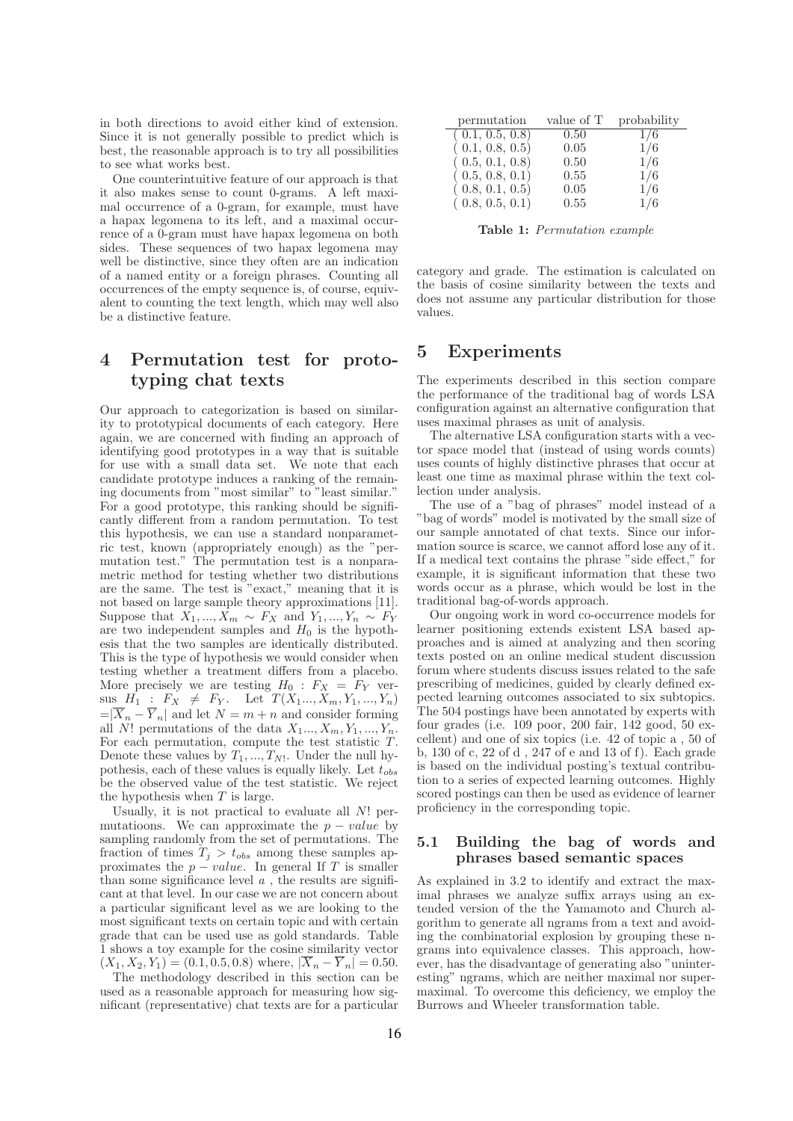in both directions to avoid either kind of extension. Since it is not generally possible to predict which is best, the reasonable approach is to try all possibilities to see what works best.

One counterintuitive feature of our approach is that it also makes sense to count 0-grams. A left maximal occurrence of a 0-gram, for example, must have a hapax legomena to its left, and a maximal occurrence of a 0-gram must have hapax legomena on both sides. These sequences of two hapax legomena may well be distinctive, since they often are an indication of a named entity or a foreign phrases. Counting all occurrences of the empty sequence is, of course, equivalent to counting the text length, which may well also be a distinctive feature.

# 4 Permutation test for prototyping chat texts

Our approach to categorization is based on similarity to prototypical documents of each category. Here again, we are concerned with finding an approach of identifying good prototypes in a way that is suitable for use with a small data set. We note that each candidate prototype induces a ranking of the remaining documents from "most similar" to "least similar." For a good prototype, this ranking should be significantly different from a random permutation. To test this hypothesis, we can use a standard nonparametric test, known (appropriately enough) as the "permutation test." The permutation test is a nonparametric method for testing whether two distributions are the same. The test is "exact," meaning that it is not based on large sample theory approximations [11]. Suppose that  $X_1, ..., X_m \sim F_X$  and  $Y_1, ..., Y_n \sim F_Y$ are two independent samples and  $H_0$  is the hypothesis that the two samples are identically distributed. This is the type of hypothesis we would consider when testing whether a treatment differs from a placebo. More precisely we are testing  $H_0 : F_X = F_Y$  ver- $\text{sus } H_1 : F_X \neq F_Y$ . Let  $T(X_1..., X_m, Y_1, ..., Y_n)$  $=|\overline{X}_n - \overline{Y}_n|$  and let  $N = m + n$  and consider forming all N! permutations of the data  $X_1..., X_m, Y_1, ..., Y_n$ . For each permutation, compute the test statistic T. Denote these values by  $T_1, ..., T_N$ . Under the null hypothesis, each of these values is equally likely. Let  $t_{obs}$ be the observed value of the test statistic. We reject the hypothesis when  $T$  is large.

Usually, it is not practical to evaluate all N! permutatioons. We can approximate the  $p - value$  by sampling randomly from the set of permutations. The fraction of times  $T_j > t_{obs}$  among these samples approximates the  $p - value$ . In general If T is smaller than some significance level  $a$ , the results are significant at that level. In our case we are not concern about a particular significant level as we are looking to the most significant texts on certain topic and with certain grade that can be used use as gold standards. Table 1 shows a toy example for the cosine similarity vector  $(X_1, X_2, Y_1) = (0.1, 0.5, 0.8)$  where,  $|X_n - Y_n| = 0.50$ .

The methodology described in this section can be used as a reasonable approach for measuring how significant (representative) chat texts are for a particular

| permutation     | value of T | probability |
|-----------------|------------|-------------|
| (0.1, 0.5, 0.8) | 0.50       | 1/6         |
| (0.1, 0.8, 0.5) | 0.05       | 1/6         |
| (0.5, 0.1, 0.8) | 0.50       | 1/6         |
| (0.5, 0.8, 0.1) | 0.55       | 1/6         |
| (0.8, 0.1, 0.5) | 0.05       | 1/6         |
| (0.8, 0.5, 0.1) | 0.55       | 1/6         |

Table 1: Permutation example

category and grade. The estimation is calculated on the basis of cosine similarity between the texts and does not assume any particular distribution for those values.

# 5 Experiments

The experiments described in this section compare the performance of the traditional bag of words LSA configuration against an alternative configuration that uses maximal phrases as unit of analysis.

The alternative LSA configuration starts with a vector space model that (instead of using words counts) uses counts of highly distinctive phrases that occur at least one time as maximal phrase within the text collection under analysis.

The use of a "bag of phrases" model instead of a "bag of words" model is motivated by the small size of our sample annotated of chat texts. Since our information source is scarce, we cannot afford lose any of it. If a medical text contains the phrase "side effect," for example, it is significant information that these two words occur as a phrase, which would be lost in the traditional bag-of-words approach.

Our ongoing work in word co-occurrence models for learner positioning extends existent LSA based approaches and is aimed at analyzing and then scoring texts posted on an online medical student discussion forum where students discuss issues related to the safe prescribing of medicines, guided by clearly defined expected learning outcomes associated to six subtopics. The 504 postings have been annotated by experts with four grades (i.e. 109 poor, 200 fair, 142 good, 50 excellent) and one of six topics (i.e. 42 of topic a , 50 of b, 130 of c, 22 of d , 247 of e and 13 of f). Each grade is based on the individual posting's textual contribution to a series of expected learning outcomes. Highly scored postings can then be used as evidence of learner proficiency in the corresponding topic.

### 5.1 Building the bag of words and phrases based semantic spaces

As explained in 3.2 to identify and extract the maximal phrases we analyze suffix arrays using an extended version of the the Yamamoto and Church algorithm to generate all ngrams from a text and avoiding the combinatorial explosion by grouping these ngrams into equivalence classes. This approach, however, has the disadvantage of generating also "uninteresting" ngrams, which are neither maximal nor supermaximal. To overcome this deficiency, we employ the Burrows and Wheeler transformation table.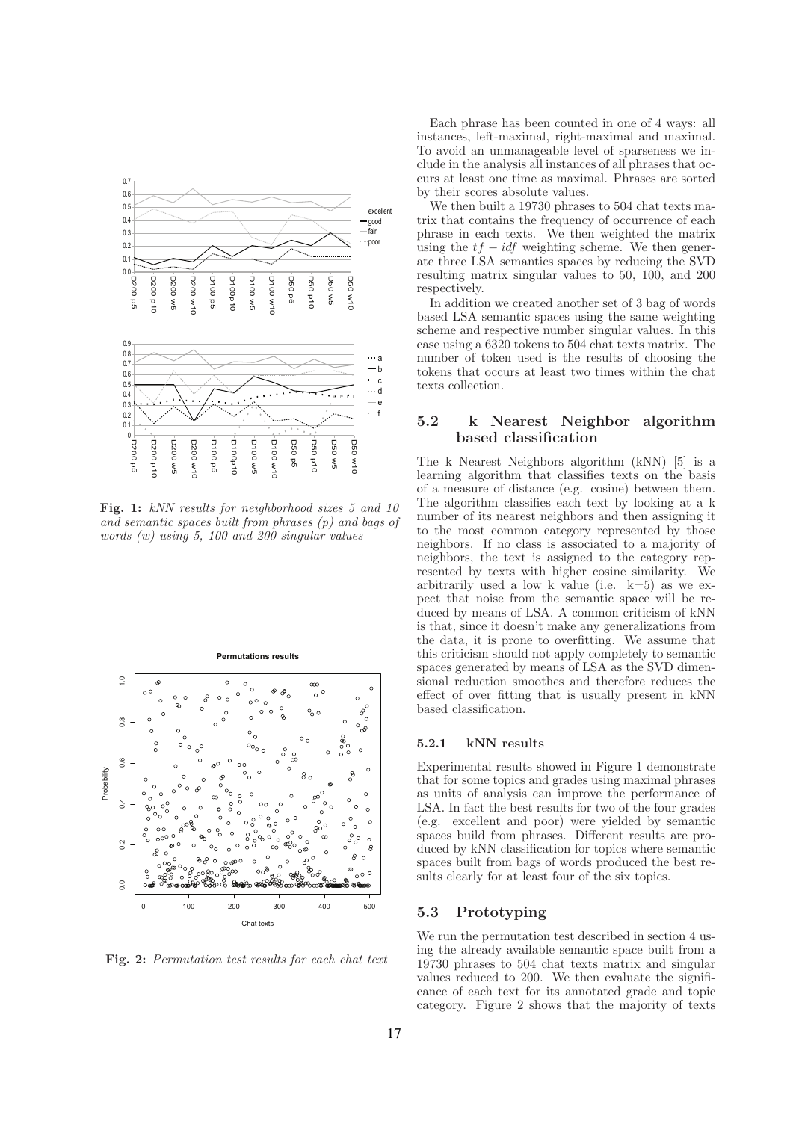

Fig. 1: kNN results for neighborhood sizes 5 and 10 and semantic spaces built from phrases (p) and bags of words (w) using 5, 100 and 200 singular values



Fig. 2: Permutation test results for each chat text

Each phrase has been counted in one of 4 ways: all instances, left-maximal, right-maximal and maximal. To avoid an unmanageable level of sparseness we include in the analysis all instances of all phrases that occurs at least one time as maximal. Phrases are sorted by their scores absolute values.

We then built a 19730 phrases to 504 chat texts matrix that contains the frequency of occurrence of each phrase in each texts. We then weighted the matrix using the  $tf - idf$  weighting scheme. We then generate three LSA semantics spaces by reducing the SVD resulting matrix singular values to 50, 100, and 200 respectively

In addition we created another set of 3 bag of words based LSA semantic spaces using the same weighting scheme and respective number singular values. In this case using a 6320 tokens to 504 chat texts matrix. The number of token used is the results of choosing the tokens that occurs at least two times within the chat texts collection.

### 5.2 k Nearest Neighbor algorithm based classification

The k Nearest Neighbors algorithm (kNN) [5] is a learning algorithm that classifies texts on the basis of a measure of distance (e.g. cosine) between them. The algorithm classifies each text by looking at a k number of its nearest neighbors and then assigning it to the most common category represented by those neighbors. If no class is associated to a majority of neighbors, the text is assigned to the category represented by texts with higher cosine similarity. We arbitrarily used a low k value (i.e.  $k=5$ ) as we expect that noise from the semantic space will be reduced by means of LSA. A common criticism of kNN is that, since it doesn't make any generalizations from the data, it is prone to overfitting. We assume that this criticism should not apply completely to semantic spaces generated by means of LSA as the SVD dimensional reduction smoothes and therefore reduces the effect of over fitting that is usually present in kNN based classification.

#### 5.2.1 kNN results

Experimental results showed in Figure 1 demonstrate that for some topics and grades using maximal phrases as units of analysis can improve the performance of LSA. In fact the best results for two of the four grades (e.g. excellent and poor) were yielded by semantic spaces build from phrases. Different results are produced by kNN classification for topics where semantic spaces built from bags of words produced the best results clearly for at least four of the six topics.

### 5.3 Prototyping

We run the permutation test described in section 4 using the already available semantic space built from a 19730 phrases to 504 chat texts matrix and singular values reduced to 200. We then evaluate the significance of each text for its annotated grade and topic category. Figure 2 shows that the majority of texts